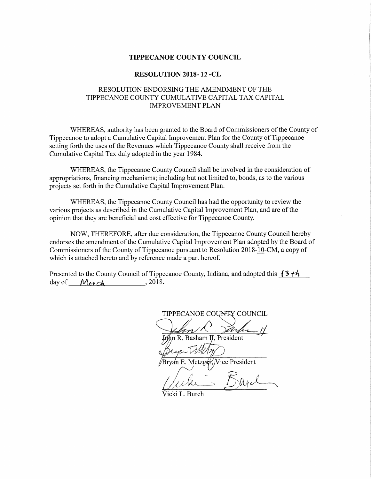#### TIPPECANOE COUNTY COUNCIL

#### RESOLUTION 2018- 12 -CL

# RESOLUTION ENDORSING THE AMENDMENT OF THE TIPPECANOE COUNTY CUMULATIVE CAPITAL TAX CAPITAL IMPROVEMENT PLAN

WHEREAS, authority has been granted to the Board of Commissioners of the County of Tippecanoe to adopt <sup>a</sup> Cumulative Capital Improvement Plan for the County of Tippecanoe setting forth the uses of the Revenues which Tippecanoe County shall receive from the Cumulative Capital Tax duly adopted in the year 1984.

WHEREAS, the Tippecanoe County Council shall be involved in the consideration of appropriations, financing mechanisms; including but not limited to, bonds, as to the various projects set forth in the Cumulative Capital Improvement Plan.

WHEREAS, the Tippecanoe County Council has had the opportunity to review the various projects as described in the Cumulative Capital Improvement Plan, and are of the opinion that they are beneficial and cost effective for Tippecanoe County.

NOW, THEREFORE, after due consideration, the Tippecanoe County Council hereby endorses the amendment of the Cumulative Capital Improvement Plan adopted by the Board of Commissioners of the County of Tippecanoe pursuant to Resolution 2018-10-CM, a copy of which is attached hereto and by reference made <sup>a</sup> part hereof.

Presented to the County Council of Tippecanoe County, Indiana, and adopted this  $\{3 \tau h\}$ day of  $M_{\text{cyc}}$ *A* , 2018.

TIPPECANOE COUNTY COUNCIL

 <sup>~</sup> $\frac{1}{\sqrt{1-\frac{1}{\sqrt{1-\frac{1}{\sqrt{1-\frac{1}{\sqrt{1-\frac{1}{\sqrt{1-\frac{1}{\sqrt{1-\frac{1}{\sqrt{1-\frac{1}{\sqrt{1-\frac{1}{\sqrt{1-\frac{1}{\sqrt{1-\frac{1}{\sqrt{1-\frac{1}{\sqrt{1-\frac{1}{\sqrt{1-\frac{1}{\sqrt{1-\frac{1}{\sqrt{1-\frac{1}{\sqrt{1-\frac{1}{\sqrt{1-\frac{1}{\sqrt{1-\frac{1}{\sqrt{1-\frac{1}{\sqrt{1-\frac{1}{\sqrt{1-\frac{1}{\sqrt{1-\frac{1}{\sqrt{1-\frac{1}{\sqrt{1-\frac{1$ lJohn R. Basham II, President f

 $\mathcal{U}$  and  $\mathcal{U}$ WWW 197  $\mathcal{O}(2\pi)$  July 1980

Brya'n E. Metzger, Vice President

 $\sim$   $\sim$   $\sim$  $1/11$ kes I Mic

Vicki L. Burch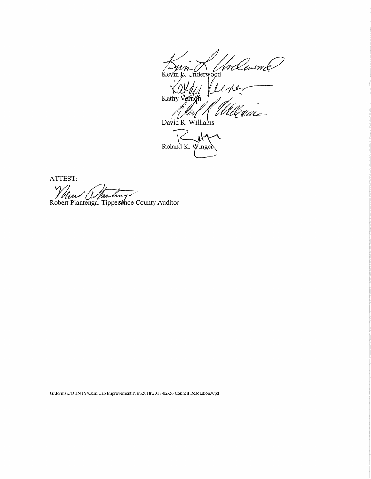rllume Kevin L. Underwood

 $414$  $\overline{\text{Kathy}}$ 

David R. Williams

 $i \le$ Roland K. Winge

ATTEST:  $\mathcal{V}$ 

Robert Plantenga, Tippecshoe County Auditor

G:\forms\COUNTY\Cum Cap Improvement Plan\2018\2018-02-26 Council Resolution.wpd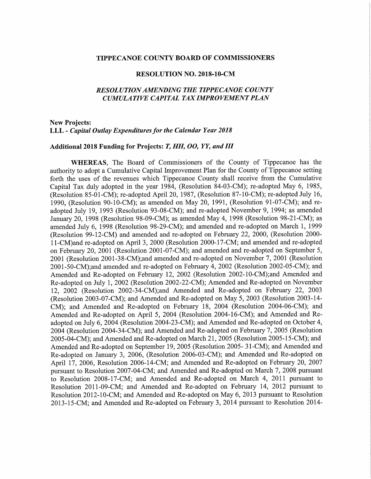#### TIPPECANOE COUNTY BOARD OF COMMISSIONERS

#### RESOLUTION NO. 2018—10-CM

## RESOL UTIONAMENDING THE TIPPECANOE COUNTY CUMULATIVE CAPITAL TAX IMPROVEMENT PLAN

### New Projects: LLL - Capital Outlay Expenditures for the Calendar Year 2018

#### Additional 2018 Funding for Projects: T, HH, OO, YY, and III

WHEREAS, The Board of Commissioners of the County of Tippecanoe has the authority to adopt <sup>a</sup> Cumulative Capital Improvement Plan for the County of Tippecanoe setting forth the uses of the revenues which Tippecanoe County shall receive from the Cumulative Capital Tax duly adopted in the year 1984, (Resolution 84-03-CM); re—adopted May 6, 1985, (Resolution 85—01-CM); re-adopted April 20, 1987, (Resolution 87~10~CM); re—adopted July 16, 1990, (Resolution 90-10-CM); as amended on May 20, 1991, (Resolution 91-07-CM); and readopted July 19, <sup>1993</sup> (Resolution 93-08-CM); and re—adopted November 9, 1994; as amended January 20, 1998 (Resolution 98-09-CM); as amended May 4, 1998 (Resolution 98-21-CM); as amended July 6, 1998 (Resolution 98-29-CM); and amended and re-adopted on March 1, 1999 (Resolution 99—12-CM) and amended and re-adopted on February 22, 2000, (Resolution 2000- 11—CM)and re—adopted on April 3, <sup>2000</sup> (Resolution 2000-17-CM; and amended and re-adopted on February 20,<sup>2001</sup> (Resolution 2001-07-CM); and amended and re-adopted on September 5, <sup>2001</sup> (Resolution 2001-38—CM);and amended and re-adopted on November 7, <sup>2001</sup> (Resolution  $2001-50-CM$ );and amended and re-adopted on February 4,  $2002$  (Resolution 2002-05-CM); and Amended and Re-adopted on February 12, 2002 (Resolution 2002-10-CM);and Amended and Re-adopted on July 1, 2002 (Resolution 2002-22-CM); Amended and Re-adopted on November 12, 2002 (Resolution 2002-34-CM);and Amended and Re-adopted on February 22, 2003 (Resolution 2003—07-CM); and Amended and Re-adopted on May 5, <sup>2003</sup> (Resolution 2003—14- CM); and Amended and Re-adopted on February 18, 2004 (Resolution 2004-06-CM); and Amended and Re-adopted on April 5, 2004 (Resolution 2004-16-CM); and Amended and Readopted on July 6, <sup>2004</sup> (Resolution 2004—23—CM); and Amended and Re-adopted on October 4, 2004 (Resolution 2004-34-CM); and Amended and Re-adopted on February 7, 2005 (Resolution 2005-04-CM); and Amended and Re-adopted on March 21, <sup>2005</sup> (Resolution 2005-15-CM); and Amended and Re-adopted on September 19, 2005 (Resolution 2005-31-CM); and Amended and Re—adopted on January 3, 2006, (Resolution 2006-03-CM); and Amended and Re-adopted on April 17, 2006, Resolution 2006~14-CM; and Amended and Re-adopted on February 20, <sup>2007</sup> pursuant to Resolution 2007-04-CM; and Amended and Re-adopted on March 7, <sup>2008</sup> pursuant to Resolution 2008-17-CM; and Amended and Re-adopted on March 4, 2011 pursuant to Resolution 2011-09-CM; and Amended and Re-adopted on February 14, 2012 pursuant to Resolution 2012~10-CM; and Amended and Re-adopted on May 6, 2013 pursuant to Resolution 2013-15-CM; and Amended and Re—adopted on February 3, 2014 pursuant to Resolution 2014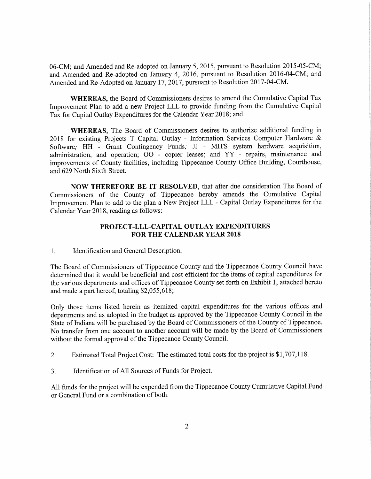06—CM; and Amended and Re-adopted on January 5, 2015, pursuant to Resolution 2015-05-CM; and Amended and Re-adopted on January 4, 2016, pursuant to Resolution 2016-04-CM; and Amended and Re-Adopted on January 17, 2017, pursuant to Resolution 2017-04-CM.

WHEREAS, the Board of Commissioners desires to amend the Cumulative Capital Tax Improvement Plan to add <sup>a</sup> new Project LLL to provide funding from the Cumulative Capital Tax for Capital Outlay Expenditures for the Calendar Year 2018; and

WHEREAS, The Board of Commissioners desires to authorize additional funding in <sup>2018</sup> for existing Projects <sup>T</sup> Capital Outlay - Information Services Computer Hardware & Software; HH - Grant Contingency Funds; JJ - MITS system hardware acquisition, administration, and operation; <sup>00</sup> - copier leases; and YY - repairs, maintenance and improvements of County facilities, including Tippecanoe County Office Building, Courthouse, and 629 North Sixth Street.

NOW THEREFORE BE IT RESOLVED, that after due consideration The Board of Commissioners of the County of Tippecanoe hereby amends the Cumulative Capital Improvement Plan to add to the plan a New Project LLL - Capital Outlay Expenditures for the Calendar Year 2018, reading as follows:

# PROJECT—LLL-CAPITAL OUTLAY EXPENDITURES FOR THE CALENDAR YEAR 2018

1. Identification and General Description.

The Board of Commissioners of Tippecanoe County and the Tippecanoe County Council have determined that it would be beneficial and cost efficient for the items of capital expenditures for the various departments and offices of Tippecanoe County set forth on Exhibit 1, attached hereto and made a part hereof, totaling \$2,055,618;

Only those items listed herein as itemized capital expenditures for the various offices and departments and as adopted in the budget as approved by the Tippecanoe County Council in the State of Indiana will be purchased by the Board of Commissioners of the County of Tippecanoe. No transfer from one account to another account will be made by the Board of Commissioners without the formal approval of the Tippecanoe County Council.

- 2. Estimated Total Project Cost: The estimated total costs for the project is \$1,707,118.
- 3. Identification of All Sources of Funds for Project.

All funds for the project will be expended from the Tippecanoe County Cumulative Capital Fund or General Fund or <sup>a</sup> combination of both.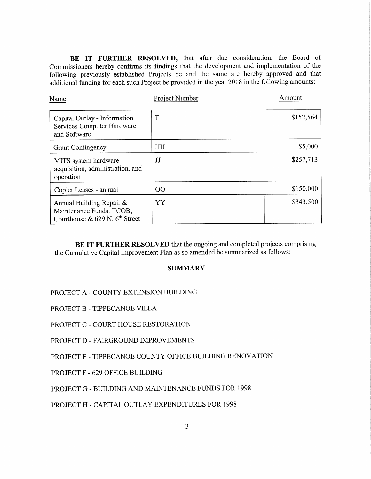BE IT FURTHER RESOLVED, that after due consideration, the Board of Commissioners hereby confirms its findings that the development and implementation of the following previously established Projects be and the same are hereby approved and that additional funding for each such Project be provided in the year <sup>2018</sup> in the following amounts:

| Name                                                                                     | Project Number | Amount    |
|------------------------------------------------------------------------------------------|----------------|-----------|
| Capital Outlay - Information<br>Services Computer Hardware<br>and Software               | T              | \$152,564 |
| <b>Grant Contingency</b>                                                                 | HH             | \$5,000   |
| MITS system hardware<br>acquisition, administration, and<br>operation                    | JJ             | \$257,713 |
| Copier Leases - annual                                                                   | 00             | \$150,000 |
| Annual Building Repair &<br>Maintenance Funds: TCOB,<br>Courthouse & 629 N. $6th$ Street | YY             | \$343,500 |

BE IT FURTHER RESOLVED that the ongoing and completed projects comprising the Cumulative Capital Improvement Plan as so amended be summarized as follows:

### **SUMMARY**

# PROJECT A - COUNTY EXTENSION BUILDING

PROJECT B — TIPPECANOE VILLA

PROJECT C - COURT HOUSE RESTORATION

PROJECT D — FAIRGROUND IMPROVEMENTS

PROJECT E — TIPPECANOE COUNTY OFFICE BUILDING RENOVATION

PROJECT F - 629 OFFICE BUILDING

PROJECT G — BUILDING AND MAINTENANCE FUNDS FOR 1998

PROJECT H - CAPITAL OUTLAY EXPENDITURES FOR 1998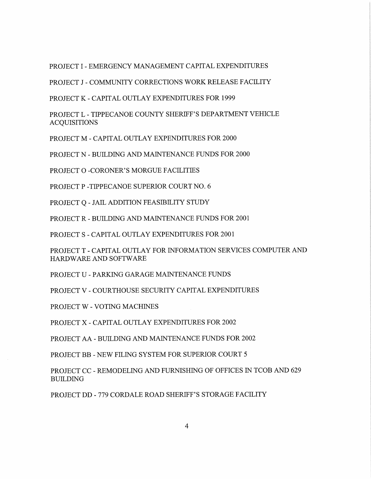PROJECT I - EMERGENCY MANAGEMENT CAPITAL EXPENDITURES

PROJECT J - COMMUNITY CORRECTIONS WORK RELEASE FACILITY

PROJECT K - CAPITAL OUTLAY EXPENDITURES FOR 1999

PROJECT L — TIPPECANOE COUNTY SHERIFF'S DEPARTMENT VEHICLE ACQUISITIONS

PROJECT M - CAPITAL OUTLAY EXPENDITURES FOR 2000

PROJECT N - BUILDING AND MAINTENANCE FUNDS FOR 2000

PROJECT O -CORONER'S MORGUE FACILITIES

PROJECT P -TIPPECANOE SUPERIOR COURT NO. 6

PROJECT Q - JAIL ADDITION FEASIBILITY STUDY

PROJECT R - BUILDING AND MAINTENANCE FUNDS FOR 2001

PROJECT S — CAPITAL OUTLAY EXPENDITURES FOR 2001

PROJECT T - CAPITAL OUTLAY FOR INFORMATION SERVICES COMPUTER AND HARDWARE AND SOFTWARE

PROJECT U — PARKING GARAGE MAINTENANCE FUNDS

PROJECT V - COURTHOUSE SECURITY CAPITAL EXPENDITURES

PROJECT W - VOTING MACHINES

PROJECT X - CAPITAL OUTLAY EXPENDITURES FOR 2002

PROJECT AA - BUILDING AND MAINTENANCE FUNDS FOR 2002

PROJECT BB - NEW FILING SYSTEM FOR SUPERIOR COURT 5

PROJECT CC - REMODELING AND FURNISHING OF OFFICES IN TCOB AND 629 BUILDING

PROJECT DD — 779 CORDALE ROAD SHERIFF'S STORAGE FACILITY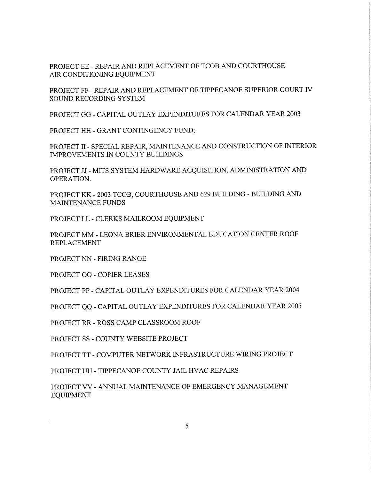PROJECT EE — REPAIR AND REPLACEMENT OF TCOB AND COURTHOUSE AIR CONDITIONING EQUIPMENT

PROJECT FF -REPAIR AND REPLACEMENT OF TIPPECANOE SUPERIOR COURT IV SOUND RECORDING SYSTEM

PROJECT GG - CAPITAL OUTLAY EXPENDITURES FOR CALENDAR YEAR 2003

PROJECT HH - GRANT CONTINGENCY FUND;

PROJECT II — SPECIAL REPAIR, MAINTENANCE AND CONSTRUCTION OF INTERIOR IMPROVEMENTS IN COUNTY BUILDINGS

PROJECT JJ - MITS SYSTEM HARDWARE ACQUISITION, ADMINISTRATION AND OPERATION.

PROJECT KK - 2003 TCOB, COURTHOUSE AND 629 BUILDING - BUILDING AND MAINTENANCE FUNDS

PROJECT LL — CLERKS MAILROOM EQUIPMENT

PROJECT MM - LEONA BRIER ENVIRONMENTAL EDUCATION CENTER ROOF REPLACEMENT

PROJECT NN - FIRING RANGE

PROJECT 00 - COPIER LEASES

PROJECT PP - CAPITAL OUTLAY EXPENDITURES FOR CALENDAR YEAR 2004

PROJECT QQ - CAPITAL OUTLAY EXPENDITURES FOR CALENDAR YEAR 2005

PROJECT RR - ROSS CAMP CLASSROOM ROOF

PROJECT SS - COUNTY WEBSITE PROJECT

PROJECT TT - COMPUTER NETWORK INFRASTRUCTURE WIRING PROJECT

PROJECT UU - TIPPECANOE COUNTY JAIL HVAC REPAIRS

PROJECT VV — ANNUAL MAINTENANCE OF EMERGENCY MANAGEMENT EQUIPMENT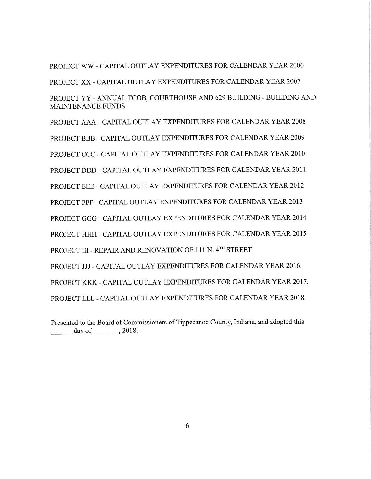PROJECT WW - CAPITAL OUTLAY EXPENDITURES FOR CALENDAR YEAR 2006 PROJECT XX — CAPITAL OUTLAY EXPENDITURES FOR CALENDAR YEAR 2007 PROJECT YY - ANNUAL TCOB, COURTHOUSE AND 629 BUILDING - BUILDING AND MAINTENANCE FUNDS PROJECT AAA - CAPITAL OUTLAY EXPENDITURES FOR CALENDAR YEAR 2008 PROJECT BBB - CAPITAL OUTLAY EXPENDITURES FOR CALENDAR YEAR 2009 PROJECT CCC — CAPITAL OUTLAY EXPENDITURES FOR CALENDAR YEAR 2010 PROJECT DDD - CAPITAL OUTLAY EXPENDITURES FOR CALENDAR YEAR 2011 PROJECT EEE - CAPITAL OUTLAY EXPENDITURES FOR CALENDAR YEAR 2012 PROJECT FFF - CAPITAL OUTLAY EXPENDITURES FOR CALENDAR YEAR 2013 PROJECT GGG - CAPITAL OUTLAY EXPENDITURES FOR CALENDAR YEAR 2014 PROJECT HHH — CAPITAL OUTLAY EXPENDITURES FOR CALENDAR YEAR 2015 PROJECT III - REPAIR AND RENOVATION OF 111 N. 4TH STREET PROJECT JJJ - CAPITAL OUTLAY EXPENDITURES FOR CALENDAR YEAR 2016. PROJECT KKK - CAPITAL OUTLAY EXPENDITURES FOR CALENDAR YEAR 2017. PROJECT LLL - CAPITAL OUTLAY EXPENDITURES FOR CALENDAR YEAR 2018.

Presented to the Board of Commissioners of Tippecanoe County, Indiana, and adopted this day of  $\qquad \qquad$  , 2018.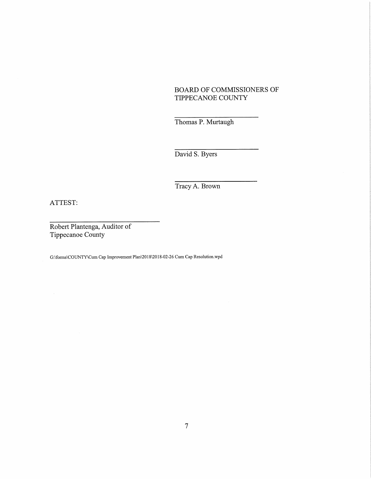# BOARD OF COMMISSIONERS OF TIPPECANOE COUNTY

Thomas P. Murtaugh

David S. Byers

Tracy A. Brown

ATTEST:

Robert Plantenga, Auditor of Tippecanoe County

G:\forms\COUNTY\Cum Cap Improvement Plan\2018\2018-02-26 Cum Cap Resolution.wpd